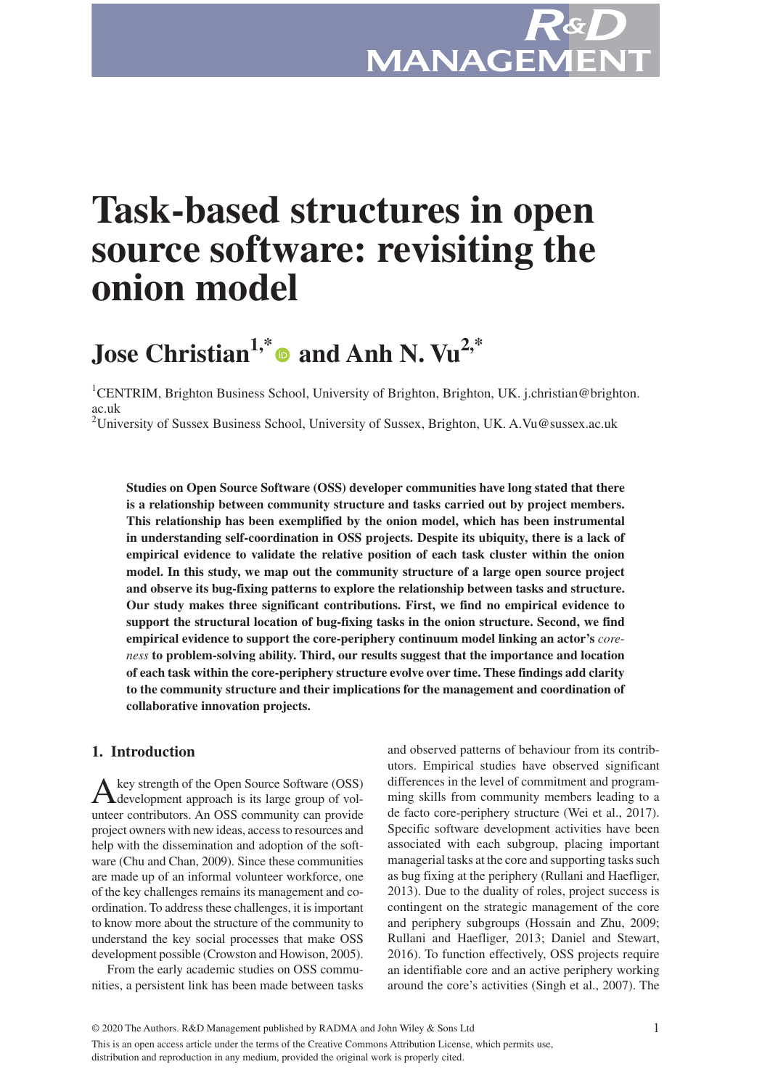# **Task-based structures in open source software: revisiting the onion model**

## **Jose Christian<sup>1,\*</sup> and Anh N. Vu<sup>2,\*</sup>**

<sup>1</sup>CENTRIM, Brighton Business School, University of Brighton, Brighton, UK. j.christian@brighton. ac.uk

<sup>2</sup>University of Sussex Business School, University of Sussex, Brighton, UK. A. Vu@sussex.ac.uk

**Studies on Open Source Software (OSS) developer communities have long stated that there is a relationship between community structure and tasks carried out by project members. This relationship has been exemplified by the onion model, which has been instrumental in understanding self-coordination in OSS projects. Despite its ubiquity, there is a lack of empirical evidence to validate the relative position of each task cluster within the onion model. In this study, we map out the community structure of a large open source project and observe its bug-fixing patterns to explore the relationship between tasks and structure. Our study makes three significant contributions. First, we find no empirical evidence to support the structural location of bug-fixing tasks in the onion structure. Second, we find empirical evidence to support the core-periphery continuum model linking an actor's** *coreness* **to problem-solving ability. Third, our results suggest that the importance and location of each task within the core-periphery structure evolve over time. These findings add clarity to the community structure and their implications for the management and coordination of collaborative innovation projects.**

## **1. Introduction**

A key strength of the Open Source Software (OSS)<br>development approach is its large group of volunteer contributors. An OSS community can provide project owners with new ideas, access to resources and help with the dissemination and adoption of the software (Chu and Chan, 2009). Since these communities are made up of an informal volunteer workforce, one of the key challenges remains its management and coordination. To address these challenges, it is important to know more about the structure of the community to understand the key social processes that make OSS development possible (Crowston and Howison, 2005).

From the early academic studies on OSS communities, a persistent link has been made between tasks and observed patterns of behaviour from its contributors. Empirical studies have observed significant differences in the level of commitment and programming skills from community members leading to a de facto core-periphery structure (Wei et al., 2017). Specific software development activities have been associated with each subgroup, placing important managerial tasks at the core and supporting tasks such as bug fixing at the periphery (Rullani and Haefliger, 2013). Due to the duality of roles, project success is contingent on the strategic management of the core and periphery subgroups (Hossain and Zhu, 2009; Rullani and Haefliger, 2013; Daniel and Stewart, 2016). To function effectively, OSS projects require an identifiable core and an active periphery working around the core's activities (Singh et al., 2007). The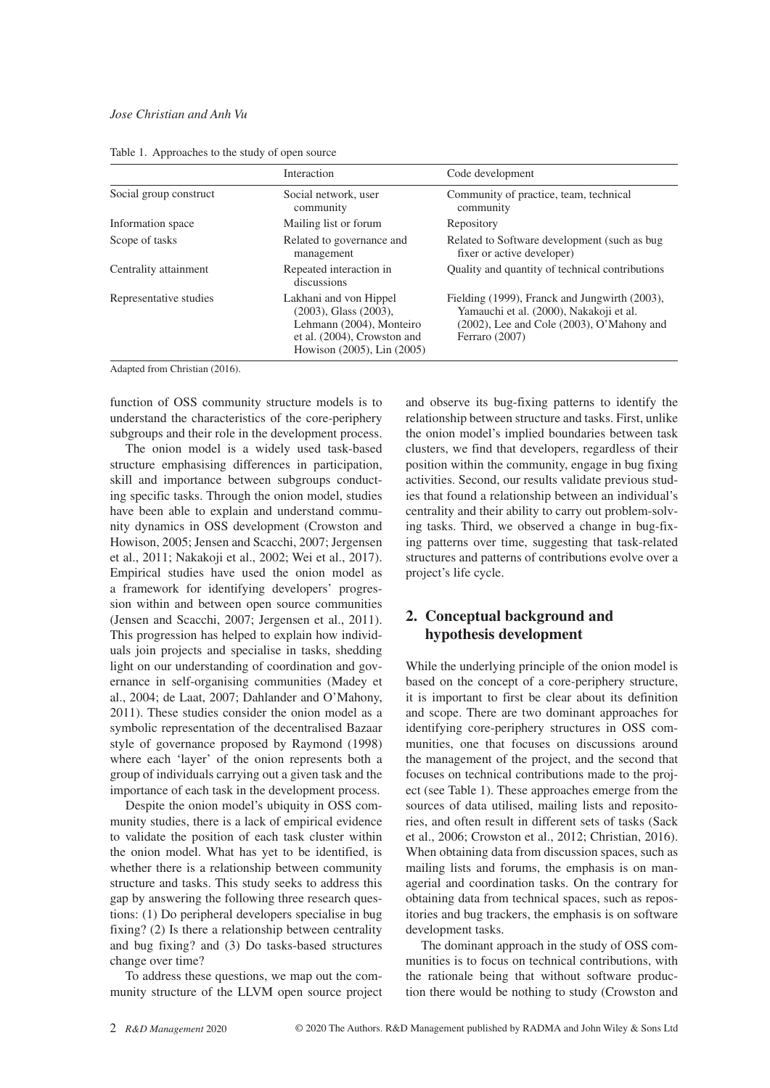|                        | Interaction                                                                                                                                    | Code development                                                                                                                                                |
|------------------------|------------------------------------------------------------------------------------------------------------------------------------------------|-----------------------------------------------------------------------------------------------------------------------------------------------------------------|
| Social group construct | Social network, user<br>community                                                                                                              | Community of practice, team, technical<br>community                                                                                                             |
| Information space      | Mailing list or forum                                                                                                                          | Repository                                                                                                                                                      |
| Scope of tasks         | Related to governance and<br>management                                                                                                        | Related to Software development (such as bug)<br>fixer or active developer)                                                                                     |
| Centrality attainment  | Repeated interaction in<br>discussions                                                                                                         | Quality and quantity of technical contributions                                                                                                                 |
| Representative studies | Lakhani and von Hippel<br>$(2003)$ , Glass $(2003)$ ,<br>Lehmann (2004), Monteiro<br>et al. (2004), Crowston and<br>Howison (2005), Lin (2005) | Fielding (1999), Franck and Jungwirth (2003),<br>Yamauchi et al. (2000), Nakakoji et al.<br>$(2002)$ , Lee and Cole $(2003)$ , O'Mahony and<br>Ferraro $(2007)$ |

|  | Table 1. Approaches to the study of open source |  |  |  |  |  |  |
|--|-------------------------------------------------|--|--|--|--|--|--|
|--|-------------------------------------------------|--|--|--|--|--|--|

Adapted from Christian (2016).

function of OSS community structure models is to understand the characteristics of the core-periphery subgroups and their role in the development process.

The onion model is a widely used task-based structure emphasising differences in participation, skill and importance between subgroups conducting specific tasks. Through the onion model, studies have been able to explain and understand community dynamics in OSS development (Crowston and Howison, 2005; Jensen and Scacchi, 2007; Jergensen et al., 2011; Nakakoji et al., 2002; Wei et al., 2017). Empirical studies have used the onion model as a framework for identifying developers' progression within and between open source communities (Jensen and Scacchi, 2007; Jergensen et al., 2011). This progression has helped to explain how individuals join projects and specialise in tasks, shedding light on our understanding of coordination and governance in self-organising communities (Madey et al., 2004; de Laat, 2007; Dahlander and O'Mahony, 2011). These studies consider the onion model as a symbolic representation of the decentralised Bazaar style of governance proposed by Raymond (1998) where each 'layer' of the onion represents both a group of individuals carrying out a given task and the importance of each task in the development process.

Despite the onion model's ubiquity in OSS community studies, there is a lack of empirical evidence to validate the position of each task cluster within the onion model. What has yet to be identified, is whether there is a relationship between community structure and tasks. This study seeks to address this gap by answering the following three research questions: (1) Do peripheral developers specialise in bug fixing? (2) Is there a relationship between centrality and bug fixing? and (3) Do tasks-based structures change over time?

To address these questions, we map out the community structure of the LLVM open source project and observe its bug-fixing patterns to identify the relationship between structure and tasks. First, unlike the onion model's implied boundaries between task clusters, we find that developers, regardless of their position within the community, engage in bug fixing activities. Second, our results validate previous studies that found a relationship between an individual's centrality and their ability to carry out problem-solving tasks. Third, we observed a change in bug-fixing patterns over time, suggesting that task-related structures and patterns of contributions evolve over a project's life cycle.

## **2. Conceptual background and hypothesis development**

While the underlying principle of the onion model is based on the concept of a core-periphery structure, it is important to first be clear about its definition and scope. There are two dominant approaches for identifying core-periphery structures in OSS communities, one that focuses on discussions around the management of the project, and the second that focuses on technical contributions made to the project (see Table 1). These approaches emerge from the sources of data utilised, mailing lists and repositories, and often result in different sets of tasks (Sack et al., 2006; Crowston et al., 2012; Christian, 2016). When obtaining data from discussion spaces, such as mailing lists and forums, the emphasis is on managerial and coordination tasks. On the contrary for obtaining data from technical spaces, such as repositories and bug trackers, the emphasis is on software development tasks.

The dominant approach in the study of OSS communities is to focus on technical contributions, with the rationale being that without software production there would be nothing to study (Crowston and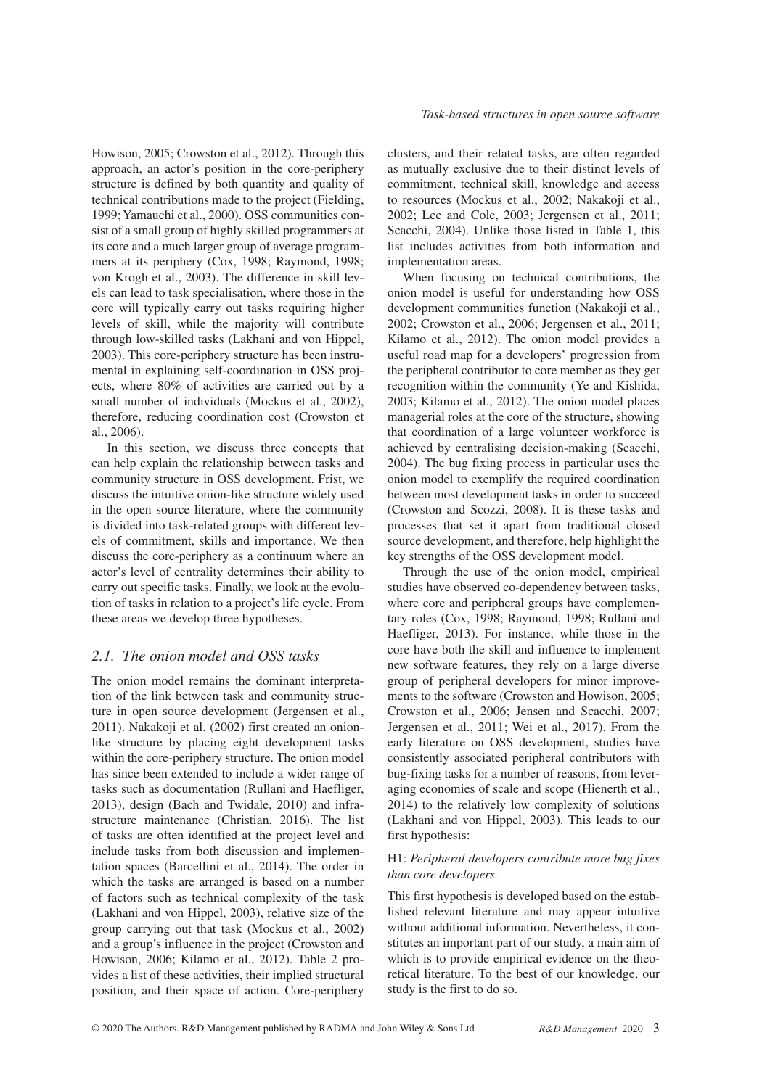Howison, 2005; Crowston et al., 2012). Through this approach, an actor's position in the core-periphery structure is defined by both quantity and quality of technical contributions made to the project (Fielding, 1999; Yamauchi et al., 2000). OSS communities consist of a small group of highly skilled programmers at its core and a much larger group of average programmers at its periphery (Cox, 1998; Raymond, 1998; von Krogh et al., 2003). The difference in skill levels can lead to task specialisation, where those in the core will typically carry out tasks requiring higher levels of skill, while the majority will contribute through low-skilled tasks (Lakhani and von Hippel, 2003). This core-periphery structure has been instrumental in explaining self-coordination in OSS projects, where 80% of activities are carried out by a small number of individuals (Mockus et al., 2002), therefore, reducing coordination cost (Crowston et al., 2006).

In this section, we discuss three concepts that can help explain the relationship between tasks and community structure in OSS development. Frist, we discuss the intuitive onion-like structure widely used in the open source literature, where the community is divided into task-related groups with different levels of commitment, skills and importance. We then discuss the core-periphery as a continuum where an actor's level of centrality determines their ability to carry out specific tasks. Finally, we look at the evolution of tasks in relation to a project's life cycle. From these areas we develop three hypotheses.

#### *2.1. The onion model and OSS tasks*

The onion model remains the dominant interpretation of the link between task and community structure in open source development (Jergensen et al., 2011). Nakakoji et al. (2002) first created an onionlike structure by placing eight development tasks within the core-periphery structure. The onion model has since been extended to include a wider range of tasks such as documentation (Rullani and Haefliger, 2013), design (Bach and Twidale, 2010) and infrastructure maintenance (Christian, 2016). The list of tasks are often identified at the project level and include tasks from both discussion and implementation spaces (Barcellini et al., 2014). The order in which the tasks are arranged is based on a number of factors such as technical complexity of the task (Lakhani and von Hippel, 2003), relative size of the group carrying out that task (Mockus et al., 2002) and a group's influence in the project (Crowston and Howison, 2006; Kilamo et al., 2012). Table 2 provides a list of these activities, their implied structural position, and their space of action. Core-periphery

clusters, and their related tasks, are often regarded as mutually exclusive due to their distinct levels of commitment, technical skill, knowledge and access to resources (Mockus et al., 2002; Nakakoji et al., 2002; Lee and Cole, 2003; Jergensen et al., 2011; Scacchi, 2004). Unlike those listed in Table 1, this list includes activities from both information and implementation areas.

When focusing on technical contributions, the onion model is useful for understanding how OSS development communities function (Nakakoji et al., 2002; Crowston et al., 2006; Jergensen et al., 2011; Kilamo et al., 2012). The onion model provides a useful road map for a developers' progression from the peripheral contributor to core member as they get recognition within the community (Ye and Kishida, 2003; Kilamo et al., 2012). The onion model places managerial roles at the core of the structure, showing that coordination of a large volunteer workforce is achieved by centralising decision-making (Scacchi, 2004). The bug fixing process in particular uses the onion model to exemplify the required coordination between most development tasks in order to succeed (Crowston and Scozzi, 2008). It is these tasks and processes that set it apart from traditional closed source development, and therefore, help highlight the key strengths of the OSS development model.

Through the use of the onion model, empirical studies have observed co-dependency between tasks, where core and peripheral groups have complementary roles (Cox, 1998; Raymond, 1998; Rullani and Haefliger, 2013). For instance, while those in the core have both the skill and influence to implement new software features, they rely on a large diverse group of peripheral developers for minor improvements to the software (Crowston and Howison, 2005; Crowston et al., 2006; Jensen and Scacchi, 2007; Jergensen et al., 2011; Wei et al., 2017). From the early literature on OSS development, studies have consistently associated peripheral contributors with bug-fixing tasks for a number of reasons, from leveraging economies of scale and scope (Hienerth et al., 2014) to the relatively low complexity of solutions (Lakhani and von Hippel, 2003). This leads to our first hypothesis:

#### H1: *Peripheral developers contribute more bug fixes than core developers.*

This first hypothesis is developed based on the established relevant literature and may appear intuitive without additional information. Nevertheless, it constitutes an important part of our study, a main aim of which is to provide empirical evidence on the theoretical literature. To the best of our knowledge, our study is the first to do so.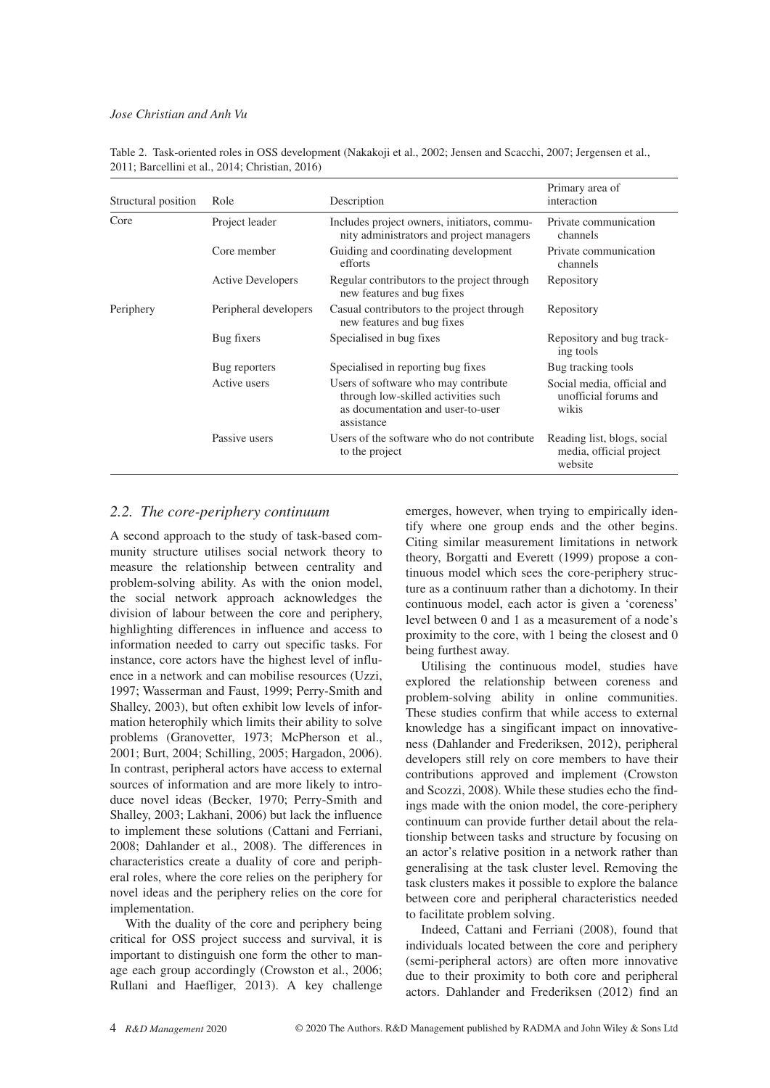| Structural position | Role                     | Description                                                                                                                    | Primary area of<br>interaction                                    |
|---------------------|--------------------------|--------------------------------------------------------------------------------------------------------------------------------|-------------------------------------------------------------------|
| Core                | Project leader           | Includes project owners, initiators, commu-<br>nity administrators and project managers                                        | Private communication<br>channels                                 |
|                     | Core member              | Guiding and coordinating development<br>efforts                                                                                | Private communication<br>channels                                 |
|                     | <b>Active Developers</b> | Regular contributors to the project through<br>new features and bug fixes                                                      | Repository                                                        |
| Periphery           | Peripheral developers    | Casual contributors to the project through<br>new features and bug fixes                                                       | Repository                                                        |
|                     | Bug fixers               | Specialised in bug fixes                                                                                                       | Repository and bug track-<br>ing tools                            |
|                     | Bug reporters            | Specialised in reporting bug fixes                                                                                             | Bug tracking tools                                                |
|                     | Active users             | Users of software who may contribute<br>through low-skilled activities such<br>as documentation and user-to-user<br>assistance | Social media, official and<br>unofficial forums and<br>wikis      |
|                     | Passive users            | Users of the software who do not contribute<br>to the project                                                                  | Reading list, blogs, social<br>media, official project<br>website |

Table 2. Task-oriented roles in OSS development (Nakakoji et al., 2002; Jensen and Scacchi, 2007; Jergensen et al., 2011; Barcellini et al., 2014; Christian, 2016)

## *2.2. The core-periphery continuum*

A second approach to the study of task-based community structure utilises social network theory to measure the relationship between centrality and problem-solving ability. As with the onion model, the social network approach acknowledges the division of labour between the core and periphery, highlighting differences in influence and access to information needed to carry out specific tasks. For instance, core actors have the highest level of influence in a network and can mobilise resources (Uzzi, 1997; Wasserman and Faust, 1999; Perry-Smith and Shalley, 2003), but often exhibit low levels of information heterophily which limits their ability to solve problems (Granovetter, 1973; McPherson et al., 2001; Burt, 2004; Schilling, 2005; Hargadon, 2006). In contrast, peripheral actors have access to external sources of information and are more likely to introduce novel ideas (Becker, 1970; Perry-Smith and Shalley, 2003; Lakhani, 2006) but lack the influence to implement these solutions (Cattani and Ferriani, 2008; Dahlander et al., 2008). The differences in characteristics create a duality of core and peripheral roles, where the core relies on the periphery for novel ideas and the periphery relies on the core for implementation.

With the duality of the core and periphery being critical for OSS project success and survival, it is important to distinguish one form the other to manage each group accordingly (Crowston et al., 2006; Rullani and Haefliger, 2013). A key challenge emerges, however, when trying to empirically identify where one group ends and the other begins. Citing similar measurement limitations in network theory, Borgatti and Everett (1999) propose a continuous model which sees the core-periphery structure as a continuum rather than a dichotomy. In their continuous model, each actor is given a 'coreness' level between 0 and 1 as a measurement of a node's proximity to the core, with 1 being the closest and 0 being furthest away.

Utilising the continuous model, studies have explored the relationship between coreness and problem-solving ability in online communities. These studies confirm that while access to external knowledge has a singificant impact on innovativeness (Dahlander and Frederiksen, 2012), peripheral developers still rely on core members to have their contributions approved and implement (Crowston and Scozzi, 2008). While these studies echo the findings made with the onion model, the core-periphery continuum can provide further detail about the relationship between tasks and structure by focusing on an actor's relative position in a network rather than generalising at the task cluster level. Removing the task clusters makes it possible to explore the balance between core and peripheral characteristics needed to facilitate problem solving.

Indeed, Cattani and Ferriani (2008), found that individuals located between the core and periphery (semi-peripheral actors) are often more innovative due to their proximity to both core and peripheral actors. Dahlander and Frederiksen (2012) find an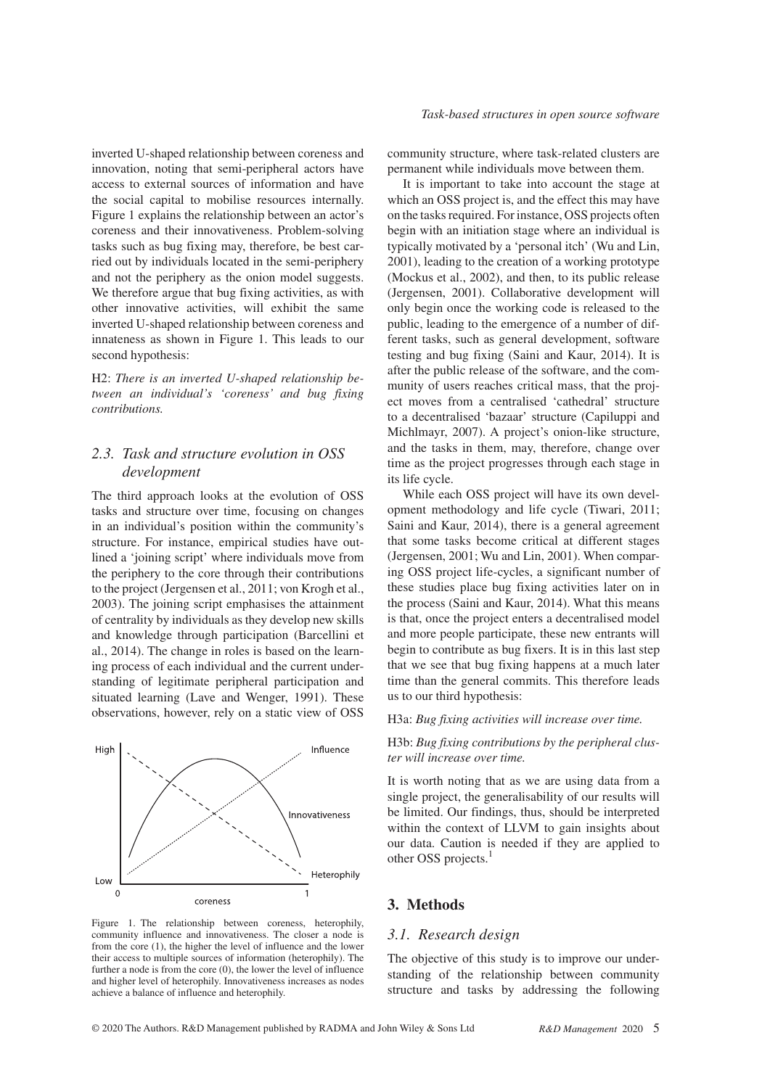inverted U-shaped relationship between coreness and innovation, noting that semi-peripheral actors have access to external sources of information and have the social capital to mobilise resources internally. Figure 1 explains the relationship between an actor's coreness and their innovativeness. Problem-solving tasks such as bug fixing may, therefore, be best carried out by individuals located in the semi-periphery and not the periphery as the onion model suggests. We therefore argue that bug fixing activities, as with other innovative activities, will exhibit the same inverted U-shaped relationship between coreness and innateness as shown in Figure 1. This leads to our second hypothesis:

H2: *There is an inverted U-shaped relationship between an individual's 'coreness' and bug fixing contributions.*

## *2.3. Task and structure evolution in OSS development*

The third approach looks at the evolution of OSS tasks and structure over time, focusing on changes in an individual's position within the community's structure. For instance, empirical studies have outlined a 'joining script' where individuals move from the periphery to the core through their contributions to the project (Jergensen et al., 2011; von Krogh et al., 2003). The joining script emphasises the attainment of centrality by individuals as they develop new skills and knowledge through participation (Barcellini et al., 2014). The change in roles is based on the learning process of each individual and the current understanding of legitimate peripheral participation and situated learning (Lave and Wenger, 1991). These observations, however, rely on a static view of OSS



Figure 1. The relationship between coreness, heterophily, community influence and innovativeness. The closer a node is from the core (1), the higher the level of influence and the lower their access to multiple sources of information (heterophily). The further a node is from the core (0), the lower the level of influence and higher level of heterophily. Innovativeness increases as nodes achieve a balance of influence and heterophily.

community structure, where task-related clusters are permanent while individuals move between them.

It is important to take into account the stage at which an OSS project is, and the effect this may have on the tasks required. For instance, OSS projects often begin with an initiation stage where an individual is typically motivated by a 'personal itch' (Wu and Lin, 2001), leading to the creation of a working prototype (Mockus et al., 2002), and then, to its public release (Jergensen, 2001). Collaborative development will only begin once the working code is released to the public, leading to the emergence of a number of different tasks, such as general development, software testing and bug fixing (Saini and Kaur, 2014). It is after the public release of the software, and the community of users reaches critical mass, that the project moves from a centralised 'cathedral' structure to a decentralised 'bazaar' structure (Capiluppi and Michlmayr, 2007). A project's onion-like structure, and the tasks in them, may, therefore, change over time as the project progresses through each stage in its life cycle.

While each OSS project will have its own development methodology and life cycle (Tiwari, 2011; Saini and Kaur, 2014), there is a general agreement that some tasks become critical at different stages (Jergensen, 2001; Wu and Lin, 2001). When comparing OSS project life-cycles, a significant number of these studies place bug fixing activities later on in the process (Saini and Kaur, 2014). What this means is that, once the project enters a decentralised model and more people participate, these new entrants will begin to contribute as bug fixers. It is in this last step that we see that bug fixing happens at a much later time than the general commits. This therefore leads us to our third hypothesis:

#### H3a: *Bug fixing activities will increase over time.*

#### H3b: *Bug fixing contributions by the peripheral cluster will increase over time.*

It is worth noting that as we are using data from a single project, the generalisability of our results will be limited. Our findings, thus, should be interpreted within the context of LLVM to gain insights about our data. Caution is needed if they are applied to other OSS projects.<sup>1</sup>

#### **3. Methods**

#### *3.1. Research design*

The objective of this study is to improve our understanding of the relationship between community structure and tasks by addressing the following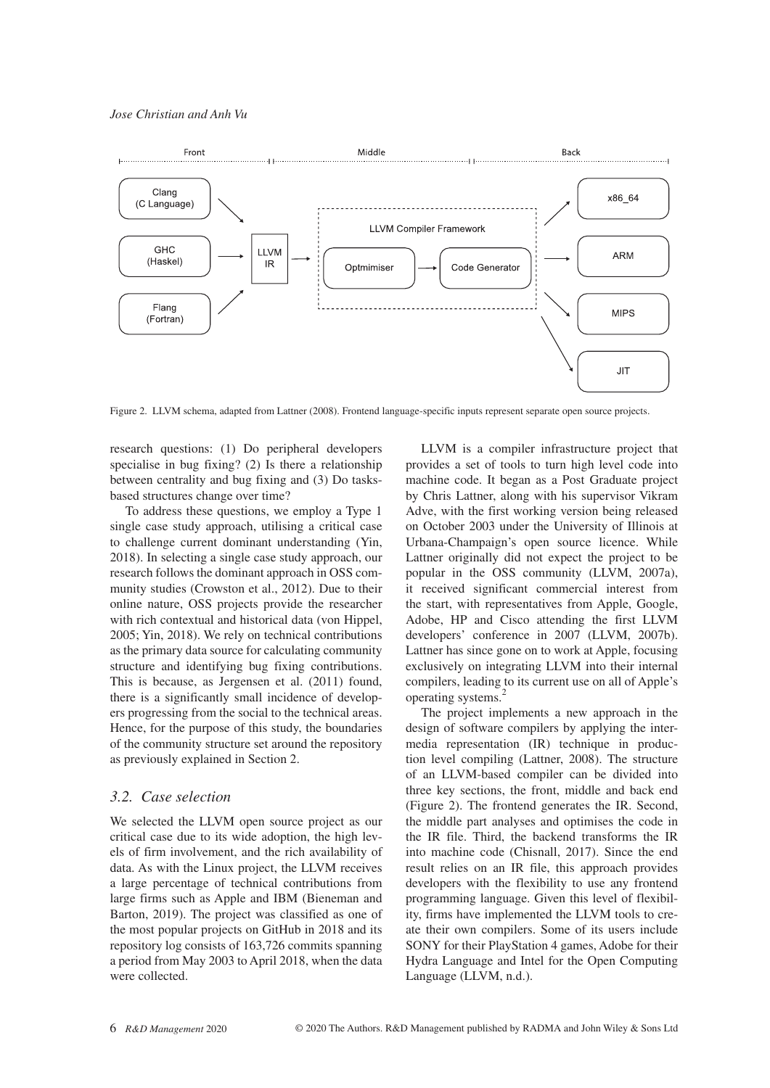

Figure 2. LLVM schema, adapted from Lattner (2008). Frontend language-specific inputs represent separate open source projects.

research questions: (1) Do peripheral developers specialise in bug fixing? (2) Is there a relationship between centrality and bug fixing and (3) Do tasksbased structures change over time?

To address these questions, we employ a Type 1 single case study approach, utilising a critical case to challenge current dominant understanding (Yin, 2018). In selecting a single case study approach, our research follows the dominant approach in OSS community studies (Crowston et al., 2012). Due to their online nature, OSS projects provide the researcher with rich contextual and historical data (von Hippel, 2005; Yin, 2018). We rely on technical contributions as the primary data source for calculating community structure and identifying bug fixing contributions. This is because, as Jergensen et al. (2011) found, there is a significantly small incidence of developers progressing from the social to the technical areas. Hence, for the purpose of this study, the boundaries of the community structure set around the repository as previously explained in Section 2.

#### *3.2. Case selection*

We selected the LLVM open source project as our critical case due to its wide adoption, the high levels of firm involvement, and the rich availability of data. As with the Linux project, the LLVM receives a large percentage of technical contributions from large firms such as Apple and IBM (Bieneman and Barton, 2019). The project was classified as one of the most popular projects on GitHub in 2018 and its repository log consists of 163,726 commits spanning a period from May 2003 to April 2018, when the data were collected.

LLVM is a compiler infrastructure project that provides a set of tools to turn high level code into machine code. It began as a Post Graduate project by Chris Lattner, along with his supervisor Vikram Adve, with the first working version being released on October 2003 under the University of Illinois at Urbana-Champaign's open source licence. While Lattner originally did not expect the project to be popular in the OSS community (LLVM, 2007a), it received significant commercial interest from the start, with representatives from Apple, Google, Adobe, HP and Cisco attending the first LLVM developers' conference in 2007 (LLVM, 2007b). Lattner has since gone on to work at Apple, focusing exclusively on integrating LLVM into their internal compilers, leading to its current use on all of Apple's operating systems.2

The project implements a new approach in the design of software compilers by applying the intermedia representation (IR) technique in production level compiling (Lattner, 2008). The structure of an LLVM-based compiler can be divided into three key sections, the front, middle and back end (Figure 2). The frontend generates the IR. Second, the middle part analyses and optimises the code in the IR file. Third, the backend transforms the IR into machine code (Chisnall, 2017). Since the end result relies on an IR file, this approach provides developers with the flexibility to use any frontend programming language. Given this level of flexibility, firms have implemented the LLVM tools to create their own compilers. Some of its users include SONY for their PlayStation 4 games, Adobe for their Hydra Language and Intel for the Open Computing Language (LLVM, n.d.).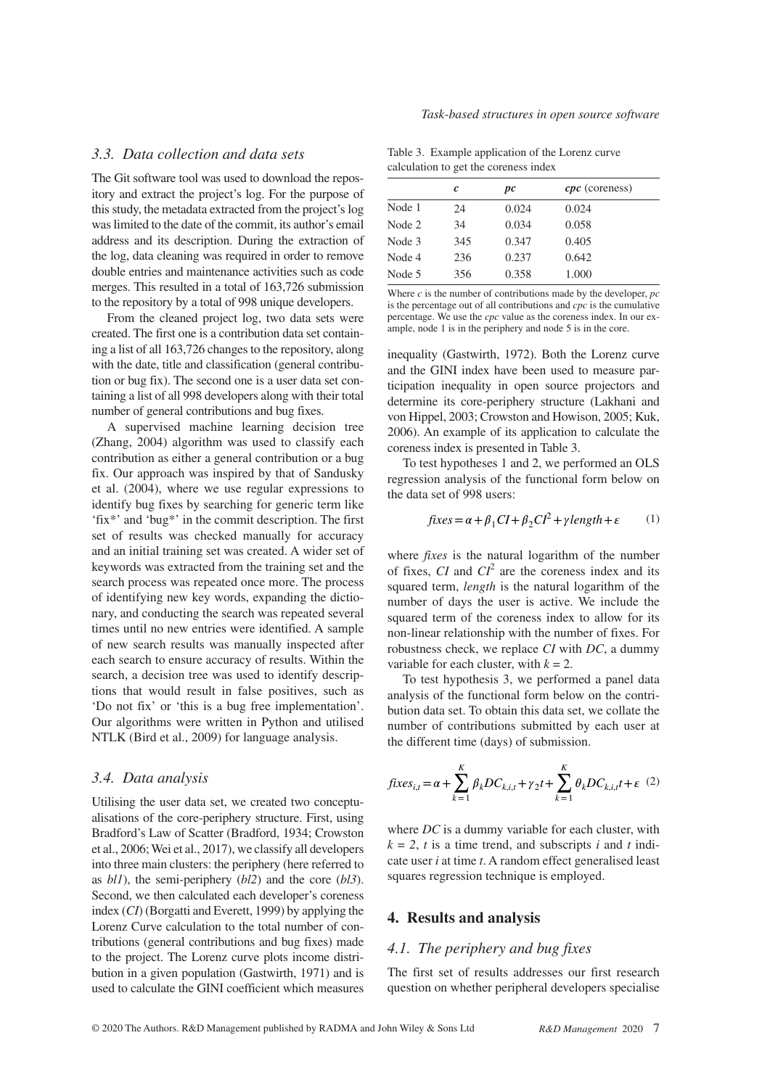## *3.3. Data collection and data sets*

The Git software tool was used to download the repository and extract the project's log. For the purpose of this study, the metadata extracted from the project's log was limited to the date of the commit, its author's email address and its description. During the extraction of the log, data cleaning was required in order to remove double entries and maintenance activities such as code merges. This resulted in a total of 163,726 submission to the repository by a total of 998 unique developers.

From the cleaned project log, two data sets were created. The first one is a contribution data set containing a list of all 163,726 changes to the repository, along with the date, title and classification (general contribution or bug fix). The second one is a user data set containing a list of all 998 developers along with their total number of general contributions and bug fixes.

A supervised machine learning decision tree (Zhang, 2004) algorithm was used to classify each contribution as either a general contribution or a bug fix. Our approach was inspired by that of Sandusky et al. (2004), where we use regular expressions to identify bug fixes by searching for generic term like 'fix\*' and 'bug\*' in the commit description. The first set of results was checked manually for accuracy and an initial training set was created. A wider set of keywords was extracted from the training set and the search process was repeated once more. The process of identifying new key words, expanding the dictionary, and conducting the search was repeated several times until no new entries were identified. A sample of new search results was manually inspected after each search to ensure accuracy of results. Within the search, a decision tree was used to identify descriptions that would result in false positives, such as 'Do not fix' or 'this is a bug free implementation'. Our algorithms were written in Python and utilised NTLK (Bird et al., 2009) for language analysis.

#### *3.4. Data analysis*

Utilising the user data set, we created two conceptualisations of the core-periphery structure. First, using Bradford's Law of Scatter (Bradford, 1934; Crowston et al., 2006; Wei et al., 2017), we classify all developers into three main clusters: the periphery (here referred to as *bl1*), the semi-periphery (*bl2*) and the core (*bl3*). Second, we then calculated each developer's coreness index (*CI*) (Borgatti and Everett, 1999) by applying the Lorenz Curve calculation to the total number of contributions (general contributions and bug fixes) made to the project. The Lorenz curve plots income distribution in a given population (Gastwirth, 1971) and is used to calculate the GINI coefficient which measures

Table 3. Example application of the Lorenz curve calculation to get the coreness index

|        | c   | $\bm{p}$ | <i>cpc</i> (coreness) |
|--------|-----|----------|-----------------------|
| Node 1 | 24  | 0.024    | 0.024                 |
| Node 2 | 34  | 0.034    | 0.058                 |
| Node 3 | 345 | 0.347    | 0.405                 |
| Node 4 | 236 | 0.237    | 0.642                 |
| Node 5 | 356 | 0.358    | 1.000                 |
|        |     |          |                       |

Where *c* is the number of contributions made by the developer, *pc* is the percentage out of all contributions and *cpc* is the cumulative percentage. We use the *cpc* value as the coreness index. In our example, node 1 is in the periphery and node 5 is in the core.

inequality (Gastwirth, 1972). Both the Lorenz curve and the GINI index have been used to measure participation inequality in open source projectors and determine its core-periphery structure (Lakhani and von Hippel, 2003; Crowston and Howison, 2005; Kuk, 2006). An example of its application to calculate the coreness index is presented in Table 3.

To test hypotheses 1 and 2, we performed an OLS regression analysis of the functional form below on the data set of 998 users:

$$
fixes = \alpha + \beta_1 CI + \beta_2 CI^2 + \gamma length + \varepsilon \tag{1}
$$

where *fixes* is the natural logarithm of the number of fixes,  $CI$  and  $CI<sup>2</sup>$  are the coreness index and its squared term, *length* is the natural logarithm of the number of days the user is active. We include the squared term of the coreness index to allow for its non-linear relationship with the number of fixes. For robustness check, we replace *CI* with *DC*, a dummy variable for each cluster, with  $k = 2$ .

To test hypothesis 3, we performed a panel data analysis of the functional form below on the contribution data set. To obtain this data set, we collate the number of contributions submitted by each user at the different time (days) of submission.

$$
fixes_{i,t} = \alpha + \sum_{k=1}^{K} \beta_k DC_{k,i,t} + \gamma_2 t + \sum_{k=1}^{K} \theta_k DC_{k,i,t} t + \varepsilon
$$
 (2)

where *DC* is a dummy variable for each cluster, with  $k = 2$ , *t* is a time trend, and subscripts *i* and *t* indicate user *i* at time *t*. A random effect generalised least squares regression technique is employed.

#### **4. Results and analysis**

#### *4.1. The periphery and bug fixes*

The first set of results addresses our first research question on whether peripheral developers specialise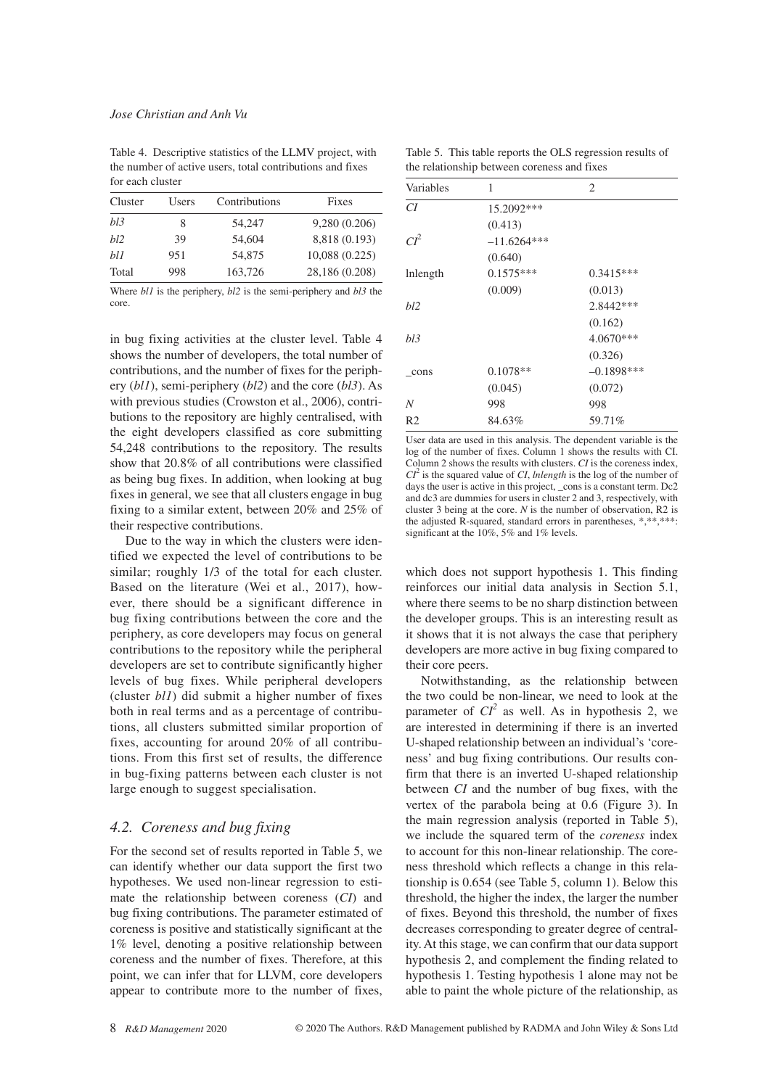Table 4. Descriptive statistics of the LLMV project, with the number of active users, total contributions and fixes for each cluster

| Cluster | Users | Contributions | Fixes          |
|---------|-------|---------------|----------------|
| bl3     | 8     | 54.247        | 9,280 (0.206)  |
| h2      | 39    | 54,604        | 8,818 (0.193)  |
| blI     | 951   | 54,875        | 10,088 (0.225) |
| Total   | 998   | 163,726       | 28,186 (0.208) |
|         |       |               |                |

Where *bl1* is the periphery, *bl2* is the semi-periphery and *bl3* the core.

in bug fixing activities at the cluster level. Table 4 shows the number of developers, the total number of contributions, and the number of fixes for the periphery (*bl1*), semi-periphery (*bl2*) and the core (*bl3*). As with previous studies (Crowston et al., 2006), contributions to the repository are highly centralised, with the eight developers classified as core submitting 54,248 contributions to the repository. The results show that 20.8% of all contributions were classified as being bug fixes. In addition, when looking at bug fixes in general, we see that all clusters engage in bug fixing to a similar extent, between 20% and 25% of their respective contributions.

Due to the way in which the clusters were identified we expected the level of contributions to be similar; roughly 1/3 of the total for each cluster. Based on the literature (Wei et al., 2017), however, there should be a significant difference in bug fixing contributions between the core and the periphery, as core developers may focus on general contributions to the repository while the peripheral developers are set to contribute significantly higher levels of bug fixes. While peripheral developers (cluster *bl1*) did submit a higher number of fixes both in real terms and as a percentage of contributions, all clusters submitted similar proportion of fixes, accounting for around 20% of all contributions. From this first set of results, the difference in bug-fixing patterns between each cluster is not large enough to suggest specialisation.

#### *4.2. Coreness and bug fixing*

For the second set of results reported in Table 5, we can identify whether our data support the first two hypotheses. We used non-linear regression to estimate the relationship between coreness (*CI*) and bug fixing contributions. The parameter estimated of coreness is positive and statistically significant at the 1% level, denoting a positive relationship between coreness and the number of fixes. Therefore, at this point, we can infer that for LLVM, core developers appear to contribute more to the number of fixes,

Table 5. This table reports the OLS regression results of the relationship between coreness and fixes

| Variables       | 1             | $\overline{2}$ |
|-----------------|---------------|----------------|
| CI              | 15.2092***    |                |
|                 | (0.413)       |                |
| CI <sup>2</sup> | $-11.6264***$ |                |
|                 | (0.640)       |                |
| lnlength        | $0.1575***$   | $0.3415***$    |
|                 | (0.009)       | (0.013)        |
| bl2             |               | $2.8442***$    |
|                 |               | (0.162)        |
| bl3             |               | 4.0670***      |
|                 |               | (0.326)        |
| cons            | $0.1078**$    | $-0.1898$ ***  |
|                 | (0.045)       | (0.072)        |
| N               | 998           | 998            |
| R <sub>2</sub>  | 84.63%        | 59.71%         |

User data are used in this analysis. The dependent variable is the log of the number of fixes. Column 1 shows the results with CI. Column 2 shows the results with clusters. *CI* is the coreness index,  $CI<sup>2</sup>$  is the squared value of *CI*, *lnlength* is the log of the number of days the user is active in this project, \_cons is a constant term. Dc2 and dc3 are dummies for users in cluster 2 and 3, respectively, with cluster 3 being at the core. *N* is the number of observation, R2 is the adjusted R-squared, standard errors in parentheses, \*,\*\*,\*\*\*: significant at the 10%, 5% and 1% levels.

which does not support hypothesis 1. This finding reinforces our initial data analysis in Section 5.1, where there seems to be no sharp distinction between the developer groups. This is an interesting result as it shows that it is not always the case that periphery developers are more active in bug fixing compared to their core peers.

Notwithstanding, as the relationship between the two could be non-linear, we need to look at the parameter of  $CI^2$  as well. As in hypothesis 2, we are interested in determining if there is an inverted U-shaped relationship between an individual's 'coreness' and bug fixing contributions. Our results confirm that there is an inverted U-shaped relationship between *CI* and the number of bug fixes, with the vertex of the parabola being at 0.6 (Figure 3). In the main regression analysis (reported in Table 5), we include the squared term of the *coreness* index to account for this non-linear relationship. The coreness threshold which reflects a change in this relationship is 0.654 (see Table 5, column 1). Below this threshold, the higher the index, the larger the number of fixes. Beyond this threshold, the number of fixes decreases corresponding to greater degree of centrality. At this stage, we can confirm that our data support hypothesis 2, and complement the finding related to hypothesis 1. Testing hypothesis 1 alone may not be able to paint the whole picture of the relationship, as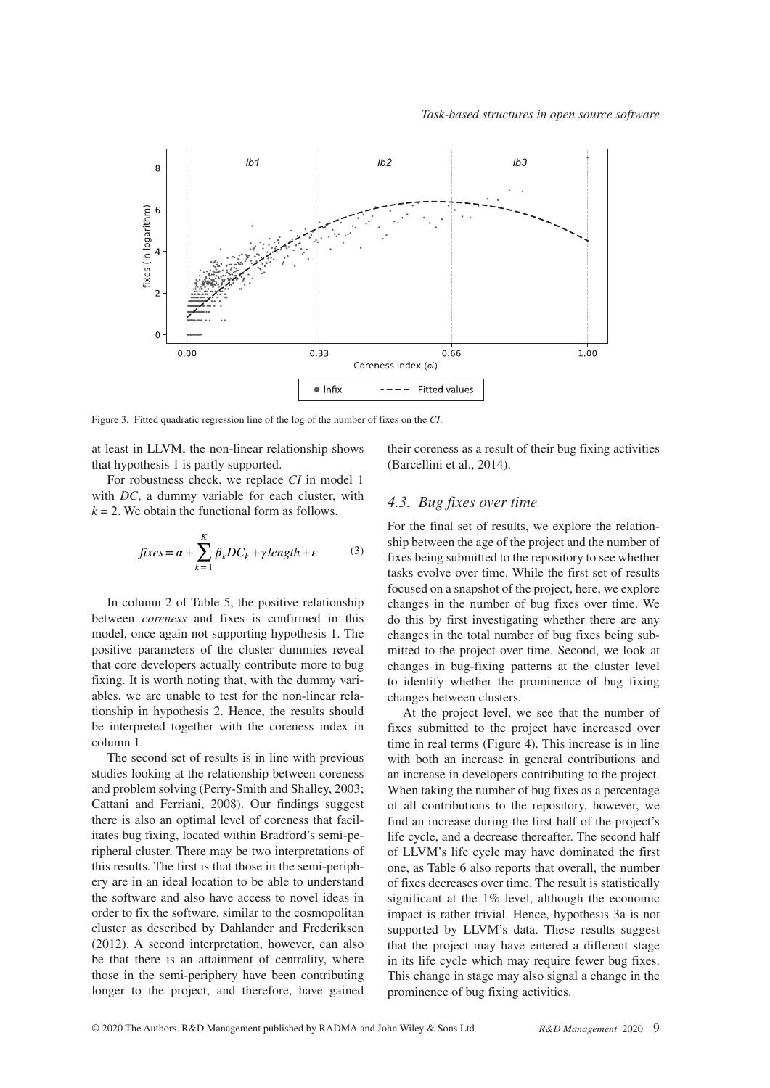

Figure 3. Fitted quadratic regression line of the log of the number of fixes on the *CI*.

at least in LLVM, the non-linear relationship shows that hypothesis 1 is partly supported.

For robustness check, we replace *CI* in model 1 with *DC*, a dummy variable for each cluster, with  $k = 2$ . We obtain the functional form as follows.

$$
fixes = \alpha + \sum_{k=1}^{K} \beta_k DC_k + \gamma length + \varepsilon
$$
 (3)

In column 2 of Table 5, the positive relationship between *coreness* and fixes is confirmed in this model, once again not supporting hypothesis 1. The positive parameters of the cluster dummies reveal that core developers actually contribute more to bug fixing. It is worth noting that, with the dummy variables, we are unable to test for the non-linear relationship in hypothesis 2. Hence, the results should be interpreted together with the coreness index in column 1.

The second set of results is in line with previous studies looking at the relationship between coreness and problem solving (Perry-Smith and Shalley, 2003; Cattani and Ferriani, 2008). Our findings suggest there is also an optimal level of coreness that facilitates bug fixing, located within Bradford's semi-peripheral cluster. There may be two interpretations of this results. The first is that those in the semi-periphery are in an ideal location to be able to understand the software and also have access to novel ideas in order to fix the software, similar to the cosmopolitan cluster as described by Dahlander and Frederiksen (2012). A second interpretation, however, can also be that there is an attainment of centrality, where those in the semi-periphery have been contributing longer to the project, and therefore, have gained

their coreness as a result of their bug fixing activities (Barcellini et al., 2014).

#### *4.3. Bug fixes over time*

For the final set of results, we explore the relationship between the age of the project and the number of fixes being submitted to the repository to see whether tasks evolve over time. While the first set of results focused on a snapshot of the project, here, we explore changes in the number of bug fixes over time. We do this by first investigating whether there are any changes in the total number of bug fixes being submitted to the project over time. Second, we look at changes in bug-fixing patterns at the cluster level to identify whether the prominence of bug fixing changes between clusters.

At the project level, we see that the number of fixes submitted to the project have increased over time in real terms (Figure 4). This increase is in line with both an increase in general contributions and an increase in developers contributing to the project. When taking the number of bug fixes as a percentage of all contributions to the repository, however, we find an increase during the first half of the project's life cycle, and a decrease thereafter. The second half of LLVM's life cycle may have dominated the first one, as Table 6 also reports that overall, the number of fixes decreases over time. The result is statistically significant at the 1% level, although the economic impact is rather trivial. Hence, hypothesis 3a is not supported by LLVM's data. These results suggest that the project may have entered a different stage in its life cycle which may require fewer bug fixes. This change in stage may also signal a change in the prominence of bug fixing activities.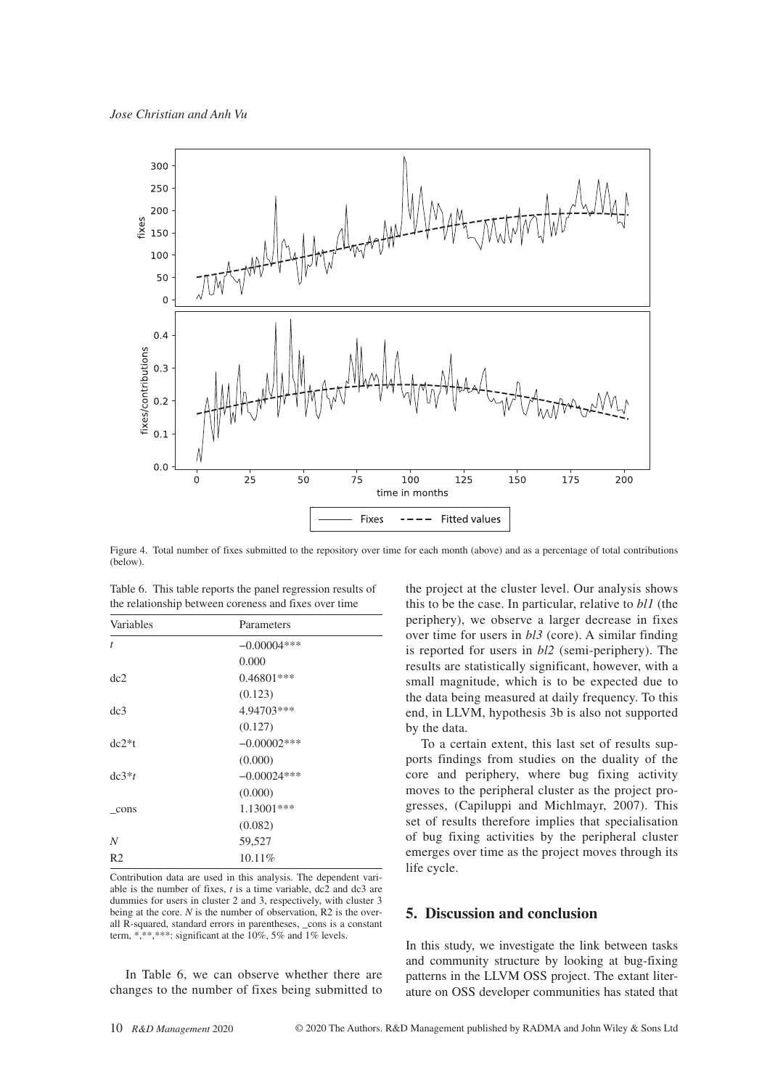

Figure 4. Total number of fixes submitted to the repository over time for each month (above) and as a percentage of total contributions (below).

| Variables      | Parameters     |  |
|----------------|----------------|--|
| $\mathbf{f}$   | $-0.00004***$  |  |
|                | 0.000          |  |
| dc2            | $0.46801$ ***  |  |
|                | (0.123)        |  |
| dc3            | 4.94703***     |  |
|                | (0.127)        |  |
| $dc2*t$        | $-0.00002$ *** |  |
|                | (0.000)        |  |
| $dc3*t$        | $-0.00024***$  |  |
|                | (0.000)        |  |
| cons           | 1.13001***     |  |
|                | (0.082)        |  |
| N              | 59,527         |  |
| R <sub>2</sub> | 10.11%         |  |

Table 6. This table reports the panel regression results of the relationship between coreness and fixes over time

Contribution data are used in this analysis. The dependent variable is the number of fixes,  $t$  is a time variable,  $dc<sub>2</sub>$  and  $dc<sub>3</sub>$  are dummies for users in cluster 2 and 3, respectively, with cluster 3 being at the core. *N* is the number of observation, R2 is the overall R-squared, standard errors in parentheses, \_cons is a constant term, \*,\*\*,\*\*\*: significant at the  $10\%$ , 5% and 1% levels.

In Table 6, we can observe whether there are changes to the number of fixes being submitted to

the project at the cluster level. Our analysis shows this to be the case. In particular, relative to *bl1* (the periphery), we observe a larger decrease in fixes over time for users in *bl3* (core). A similar finding is reported for users in *bl2* (semi-periphery). The results are statistically significant, however, with a small magnitude, which is to be expected due to the data being measured at daily frequency. To this end, in LLVM, hypothesis 3b is also not supported by the data.

To a certain extent, this last set of results supports findings from studies on the duality of the core and periphery, where bug fixing activity moves to the peripheral cluster as the project progresses, (Capiluppi and Michlmayr, 2007). This set of results therefore implies that specialisation of bug fixing activities by the peripheral cluster emerges over time as the project moves through its life cycle.

## **5. Discussion and conclusion**

In this study, we investigate the link between tasks and community structure by looking at bug-fixing patterns in the LLVM OSS project. The extant literature on OSS developer communities has stated that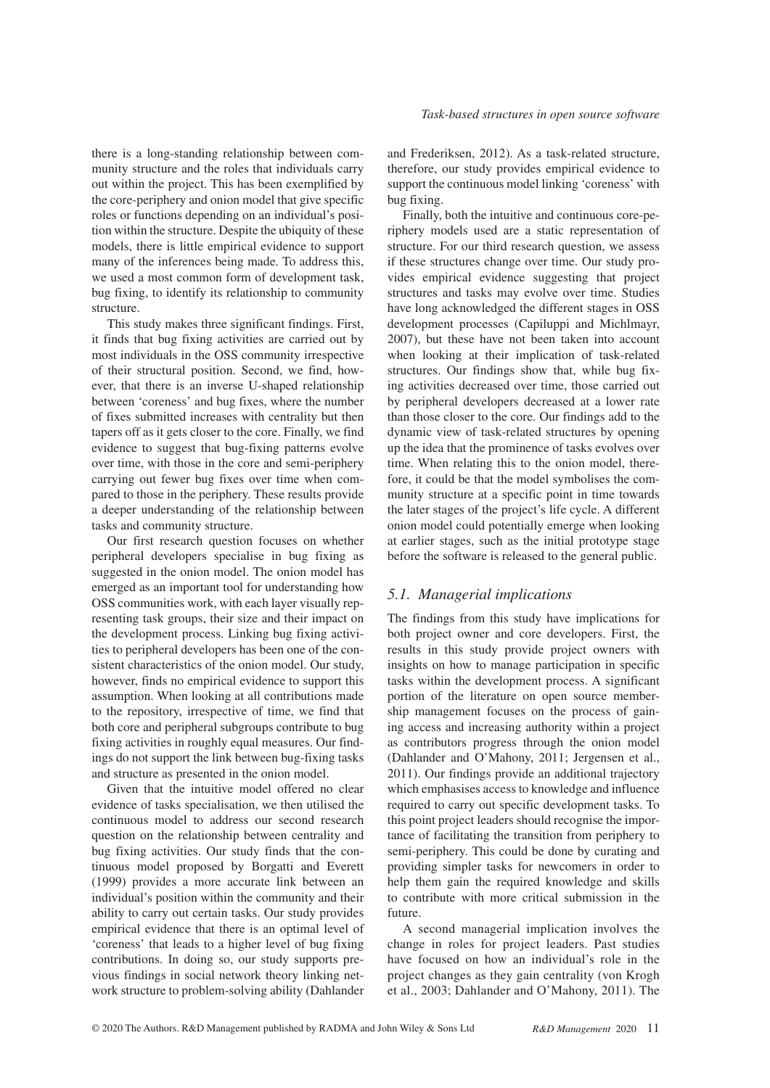there is a long-standing relationship between community structure and the roles that individuals carry out within the project. This has been exemplified by the core-periphery and onion model that give specific roles or functions depending on an individual's position within the structure. Despite the ubiquity of these models, there is little empirical evidence to support many of the inferences being made. To address this, we used a most common form of development task, bug fixing, to identify its relationship to community structure.

This study makes three significant findings. First, it finds that bug fixing activities are carried out by most individuals in the OSS community irrespective of their structural position. Second, we find, however, that there is an inverse U-shaped relationship between 'coreness' and bug fixes, where the number of fixes submitted increases with centrality but then tapers off as it gets closer to the core. Finally, we find evidence to suggest that bug-fixing patterns evolve over time, with those in the core and semi-periphery carrying out fewer bug fixes over time when compared to those in the periphery. These results provide a deeper understanding of the relationship between tasks and community structure.

Our first research question focuses on whether peripheral developers specialise in bug fixing as suggested in the onion model. The onion model has emerged as an important tool for understanding how OSS communities work, with each layer visually representing task groups, their size and their impact on the development process. Linking bug fixing activities to peripheral developers has been one of the consistent characteristics of the onion model. Our study, however, finds no empirical evidence to support this assumption. When looking at all contributions made to the repository, irrespective of time, we find that both core and peripheral subgroups contribute to bug fixing activities in roughly equal measures. Our findings do not support the link between bug-fixing tasks and structure as presented in the onion model.

Given that the intuitive model offered no clear evidence of tasks specialisation, we then utilised the continuous model to address our second research question on the relationship between centrality and bug fixing activities. Our study finds that the continuous model proposed by Borgatti and Everett (1999) provides a more accurate link between an individual's position within the community and their ability to carry out certain tasks. Our study provides empirical evidence that there is an optimal level of 'coreness' that leads to a higher level of bug fixing contributions. In doing so, our study supports previous findings in social network theory linking network structure to problem-solving ability (Dahlander

and Frederiksen, 2012). As a task-related structure, therefore, our study provides empirical evidence to support the continuous model linking 'coreness' with bug fixing.

Finally, both the intuitive and continuous core-periphery models used are a static representation of structure. For our third research question, we assess if these structures change over time. Our study provides empirical evidence suggesting that project structures and tasks may evolve over time. Studies have long acknowledged the different stages in OSS development processes (Capiluppi and Michlmayr, 2007), but these have not been taken into account when looking at their implication of task-related structures. Our findings show that, while bug fixing activities decreased over time, those carried out by peripheral developers decreased at a lower rate than those closer to the core. Our findings add to the dynamic view of task-related structures by opening up the idea that the prominence of tasks evolves over time. When relating this to the onion model, therefore, it could be that the model symbolises the community structure at a specific point in time towards the later stages of the project's life cycle. A different onion model could potentially emerge when looking at earlier stages, such as the initial prototype stage before the software is released to the general public.

#### *5.1. Managerial implications*

The findings from this study have implications for both project owner and core developers. First, the results in this study provide project owners with insights on how to manage participation in specific tasks within the development process. A significant portion of the literature on open source membership management focuses on the process of gaining access and increasing authority within a project as contributors progress through the onion model (Dahlander and O'Mahony, 2011; Jergensen et al., 2011). Our findings provide an additional trajectory which emphasises access to knowledge and influence required to carry out specific development tasks. To this point project leaders should recognise the importance of facilitating the transition from periphery to semi-periphery. This could be done by curating and providing simpler tasks for newcomers in order to help them gain the required knowledge and skills to contribute with more critical submission in the future.

A second managerial implication involves the change in roles for project leaders. Past studies have focused on how an individual's role in the project changes as they gain centrality (von Krogh et al., 2003; Dahlander and O'Mahony, 2011). The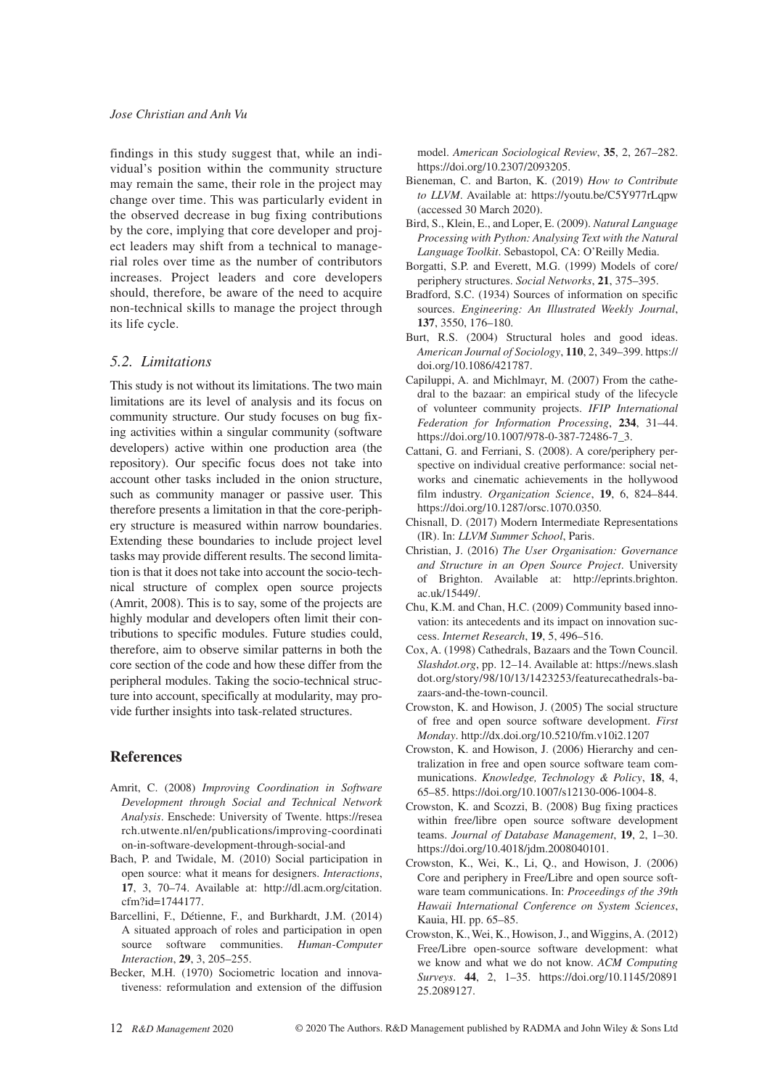findings in this study suggest that, while an individual's position within the community structure may remain the same, their role in the project may change over time. This was particularly evident in the observed decrease in bug fixing contributions by the core, implying that core developer and project leaders may shift from a technical to managerial roles over time as the number of contributors increases. Project leaders and core developers should, therefore, be aware of the need to acquire non-technical skills to manage the project through its life cycle.

## *5.2. Limitations*

This study is not without its limitations. The two main limitations are its level of analysis and its focus on community structure. Our study focuses on bug fixing activities within a singular community (software developers) active within one production area (the repository). Our specific focus does not take into account other tasks included in the onion structure, such as community manager or passive user. This therefore presents a limitation in that the core-periphery structure is measured within narrow boundaries. Extending these boundaries to include project level tasks may provide different results. The second limitation is that it does not take into account the socio-technical structure of complex open source projects (Amrit, 2008). This is to say, some of the projects are highly modular and developers often limit their contributions to specific modules. Future studies could, therefore, aim to observe similar patterns in both the core section of the code and how these differ from the peripheral modules. Taking the socio-technical structure into account, specifically at modularity, may provide further insights into task-related structures.

## **References**

- Amrit, C. (2008) *Improving Coordination in Software Development through Social and Technical Network Analysis*. Enschede: University of Twente. [https://resea](https://research.utwente.nl/en/publications/improving-coordination-in-software-development-through-social-and) [rch.utwente.nl/en/publications/improving-coordinati](https://research.utwente.nl/en/publications/improving-coordination-in-software-development-through-social-and) [on-in-software-development-through-social-and](https://research.utwente.nl/en/publications/improving-coordination-in-software-development-through-social-and)
- Bach, P. and Twidale, M. (2010) Social participation in open source: what it means for designers. *Interactions*, **17**, 3, 70–74. Available at: [http://dl.acm.org/citation.](http://dl.acm.org/citation.cfm?id=1744177) [cfm?id=1744177.](http://dl.acm.org/citation.cfm?id=1744177)
- Barcellini, F., Détienne, F., and Burkhardt, J.M. (2014) A situated approach of roles and participation in open source software communities. *Human-Computer Interaction*, **29**, 3, 205–255.
- Becker, M.H. (1970) Sociometric location and innovativeness: reformulation and extension of the diffusion

model. *American Sociological Review*, **35**, 2, 267–282. <https://doi.org/10.2307/2093205>.

- Bieneman, C. and Barton, K. (2019) *How to Contribute to LLVM*. Available at: https://youtu.be/C5Y977rLqpw (accessed 30 March 2020).
- Bird, S., Klein, E., and Loper, E. (2009). *Natural Language Processing with Python: Analysing Text with the Natural Language Toolkit*. Sebastopol, CA: O'Reilly Media.
- Borgatti, S.P. and Everett, M.G. (1999) Models of core/ periphery structures. *Social Networks*, **21**, 375–395.
- Bradford, S.C. (1934) Sources of information on specific sources. *Engineering: An Illustrated Weekly Journal*, **137**, 3550, 176–180.
- Burt, R.S. (2004) Structural holes and good ideas. *American Journal of Sociology*, **110**, 2, 349–399. [https://](https://doi.org/10.1086/421787) [doi.org/10.1086/421787.](https://doi.org/10.1086/421787)
- Capiluppi, A. and Michlmayr, M. (2007) From the cathedral to the bazaar: an empirical study of the lifecycle of volunteer community projects. *IFIP International Federation for Information Processing*, **234**, 31–44. [https://doi.org/10.1007/978-0-387-72486-7\\_3](https://doi.org/10.1007/978-0-387-72486-7_3).
- Cattani, G. and Ferriani, S. (2008). A core/periphery perspective on individual creative performance: social networks and cinematic achievements in the hollywood film industry. *Organization Science*, **19**, 6, 824–844. <https://doi.org/10.1287/orsc.1070.0350>.
- Chisnall, D. (2017) Modern Intermediate Representations (IR). In: *LLVM Summer School*, Paris.
- Christian, J. (2016) *The User Organisation: Governance and Structure in an Open Source Project*. University of Brighton. Available at: [http://eprints.brighton.](http://eprints.brighton.ac.uk/15449/) [ac.uk/15449/.](http://eprints.brighton.ac.uk/15449/)
- Chu, K.M. and Chan, H.C. (2009) Community based innovation: its antecedents and its impact on innovation success. *Internet Research*, **19**, 5, 496–516.
- Cox, A. (1998) Cathedrals, Bazaars and the Town Council. *Slashdot.org*, pp. 12–14. Available at: [https://news.slash](https://news.slashdot.org/story/98/10/13/1423253/featurecathedrals-bazaars-and-the-town-council) [dot.org/story/98/10/13/1423253/featurecathedrals-ba](https://news.slashdot.org/story/98/10/13/1423253/featurecathedrals-bazaars-and-the-town-council)[zaars-and-the-town-council.](https://news.slashdot.org/story/98/10/13/1423253/featurecathedrals-bazaars-and-the-town-council)
- Crowston, K. and Howison, J. (2005) The social structure of free and open source software development. *First Monday*. <http://dx.doi.org/10.5210/fm.v10i2.1207>
- Crowston, K. and Howison, J. (2006) Hierarchy and centralization in free and open source software team communications. *Knowledge, Technology & Policy*, **18**, 4, 65–85. [https://doi.org/10.1007/s12130-006-1004-8.](https://doi.org/10.1007/s12130-006-1004-8)
- Crowston, K. and Scozzi, B. (2008) Bug fixing practices within free/libre open source software development teams. *Journal of Database Management*, **19**, 2, 1–30. [https://doi.org/10.4018/jdm.2008040101.](https://doi.org/10.4018/jdm.2008040101)
- Crowston, K., Wei, K., Li, Q., and Howison, J. (2006) Core and periphery in Free/Libre and open source software team communications. In: *Proceedings of the 39th Hawaii International Conference on System Sciences*, Kauia, HI. pp. 65–85.
- Crowston, K., Wei, K., Howison, J., and Wiggins, A. (2012) Free/Libre open-source software development: what we know and what we do not know. *ACM Computing Surveys*. **44**, 2, 1–35. [https://doi.org/10.1145/20891](https://doi.org/10.1145/2089125.2089127) [25.2089127.](https://doi.org/10.1145/2089125.2089127)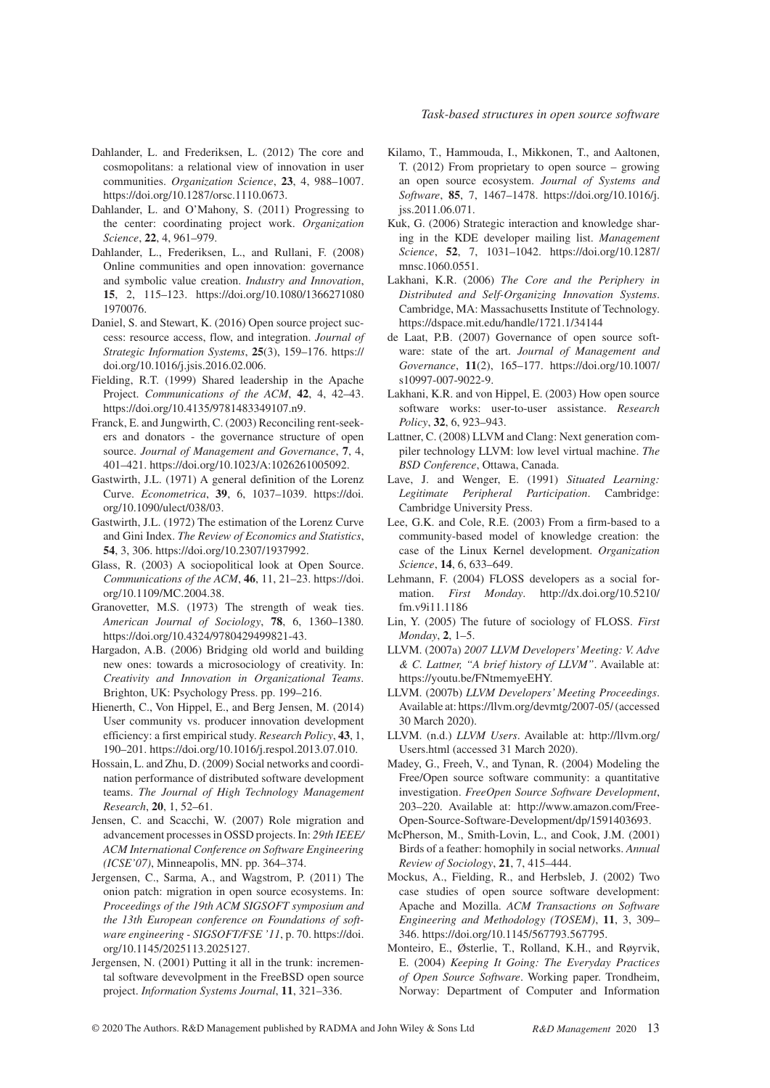- Dahlander, L. and Frederiksen, L. (2012) The core and cosmopolitans: a relational view of innovation in user communities. *Organization Science*, **23**, 4, 988–1007. <https://doi.org/10.1287/orsc.1110.0673>.
- Dahlander, L. and O'Mahony, S. (2011) Progressing to the center: coordinating project work. *Organization Science*, **22**, 4, 961–979.
- Dahlander, L., Frederiksen, L., and Rullani, F. (2008) Online communities and open innovation: governance and symbolic value creation. *Industry and Innovation*, **15**, 2, 115–123. [https://doi.org/10.1080/1366271080](https://doi.org/10.1080/13662710801970076) [1970076](https://doi.org/10.1080/13662710801970076).
- Daniel, S. and Stewart, K. (2016) Open source project success: resource access, flow, and integration. *Journal of Strategic Information Systems*, **25**(3), 159–176. [https://](https://doi.org/10.1016/j.jsis.2016.02.006) [doi.org/10.1016/j.jsis.2016.02.006.](https://doi.org/10.1016/j.jsis.2016.02.006)
- Fielding, R.T. (1999) Shared leadership in the Apache Project. *Communications of the ACM*, **42**, 4, 42–43. <https://doi.org/10.4135/9781483349107.n9>.
- Franck, E. and Jungwirth, C. (2003) Reconciling rent-seekers and donators - the governance structure of open source. *Journal of Management and Governance*, **7**, 4, 401–421. <https://doi.org/10.1023/A:1026261005092>.
- Gastwirth, J.L. (1971) A general definition of the Lorenz Curve. *Econometrica*, **39**, 6, 1037–1039. [https://doi.](https://doi.org/10.1090/ulect/038/03) [org/10.1090/ulect/038/03.](https://doi.org/10.1090/ulect/038/03)
- Gastwirth, J.L. (1972) The estimation of the Lorenz Curve and Gini Index. *The Review of Economics and Statistics*, **54**, 3, 306. [https://doi.org/10.2307/1937992.](https://doi.org/10.2307/1937992)
- Glass, R. (2003) A sociopolitical look at Open Source. *Communications of the ACM*, **46**, 11, 21–23. [https://doi.](https://doi.org/10.1109/MC.2004.38) [org/10.1109/MC.2004.38](https://doi.org/10.1109/MC.2004.38).
- Granovetter, M.S. (1973) The strength of weak ties. *American Journal of Sociology*, **78**, 6, 1360–1380. <https://doi.org/10.4324/9780429499821-43>.
- Hargadon, A.B. (2006) Bridging old world and building new ones: towards a microsociology of creativity. In: *Creativity and Innovation in Organizational Teams*. Brighton, UK: Psychology Press. pp. 199–216.
- Hienerth, C., Von Hippel, E., and Berg Jensen, M. (2014) User community vs. producer innovation development efficiency: a first empirical study. *Research Policy*, **43**, 1, 190–201. [https://doi.org/10.1016/j.respol.2013.07.010.](https://doi.org/10.1016/j.respol.2013.07.010)
- Hossain, L. and Zhu, D. (2009) Social networks and coordination performance of distributed software development teams. *The Journal of High Technology Management Research*, **20**, 1, 52–61.
- Jensen, C. and Scacchi, W. (2007) Role migration and advancement processes in OSSD projects. In: *29th IEEE/ ACM International Conference on Software Engineering (ICSE'07)*, Minneapolis, MN. pp. 364–374.
- Jergensen, C., Sarma, A., and Wagstrom, P. (2011) The onion patch: migration in open source ecosystems. In: *Proceedings of the 19th ACM SIGSOFT symposium and the 13th European conference on Foundations of software engineering - SIGSOFT/FSE '11*, p. 70. [https://doi.](https://doi.org/10.1145/2025113.2025127) [org/10.1145/2025113.2025127](https://doi.org/10.1145/2025113.2025127).
- Jergensen, N. (2001) Putting it all in the trunk: incremental software devevolpment in the FreeBSD open source project. *Information Systems Journal*, **11**, 321–336.

#### *Task-based structures in open source software*

- Kilamo, T., Hammouda, I., Mikkonen, T., and Aaltonen, T. (2012) From proprietary to open source – growing an open source ecosystem. *Journal of Systems and Software*, **85**, 7, 1467–1478. [https://doi.org/10.1016/j.](https://doi.org/10.1016/j.jss.2011.06.071) [jss.2011.06.071](https://doi.org/10.1016/j.jss.2011.06.071).
- Kuk, G. (2006) Strategic interaction and knowledge sharing in the KDE developer mailing list. *Management Science*, **52**, 7, 1031–1042. [https://doi.org/10.1287/](https://doi.org/10.1287/mnsc.1060.0551) [mnsc.1060.0551](https://doi.org/10.1287/mnsc.1060.0551).
- Lakhani, K.R. (2006) *The Core and the Periphery in Distributed and Self-Organizing Innovation Systems*. Cambridge, MA: Massachusetts Institute of Technology. <https://dspace.mit.edu/handle/1721.1/34144>
- de Laat, P.B. (2007) Governance of open source software: state of the art. *Journal of Management and Governance*, **11**(2), 165–177. [https://doi.org/10.1007/](https://doi.org/10.1007/s10997-007-9022-9) [s10997-007-9022-9.](https://doi.org/10.1007/s10997-007-9022-9)
- Lakhani, K.R. and von Hippel, E. (2003) How open source software works: user-to-user assistance. *Research Policy*, **32**, 6, 923–943.
- Lattner, C. (2008) LLVM and Clang: Next generation compiler technology LLVM: low level virtual machine. *The BSD Conference*, Ottawa, Canada.
- Lave, J. and Wenger, E. (1991) *Situated Learning: Legitimate Peripheral Participation*. Cambridge: Cambridge University Press.
- Lee, G.K. and Cole, R.E. (2003) From a firm-based to a community-based model of knowledge creation: the case of the Linux Kernel development. *Organization Science*, **14**, 6, 633–649.
- Lehmann, F. (2004) FLOSS developers as a social formation. *First Monday*. [http://dx.doi.org/10.5210/](http://dx.doi.org/10.5210/fm.v9i11.1186) [fm.v9i11.1186](http://dx.doi.org/10.5210/fm.v9i11.1186)
- Lin, Y. (2005) The future of sociology of FLOSS. *First Monday*, **2**, 1–5.
- LLVM. (2007a) *2007 LLVM Developers' Meeting: V. Adve & C. Lattner, "A brief history of LLVM"*. Available at: <https://youtu.be/FNtmemyeEHY>.
- LLVM. (2007b) *LLVM Developers' Meeting Proceedings*. Available at:<https://llvm.org/devmtg/2007-05/> (accessed 30 March 2020).
- LLVM. (n.d.) *LLVM Users*. Available at: [http://llvm.org/](http://llvm.org/Users.html) [Users.html](http://llvm.org/Users.html) (accessed 31 March 2020).
- Madey, G., Freeh, V., and Tynan, R. (2004) Modeling the Free/Open source software community: a quantitative investigation. *FreeOpen Source Software Development*, 203–220. Available at: [http://www.amazon.com/Free-](http://www.amazon.com/Free-Open-Source-Software-Development/dp/1591403693)[Open-Source-Software-Development/dp/1591403693.](http://www.amazon.com/Free-Open-Source-Software-Development/dp/1591403693)
- McPherson, M., Smith-Lovin, L., and Cook, J.M. (2001) Birds of a feather: homophily in social networks. *Annual Review of Sociology*, **21**, 7, 415–444.
- Mockus, A., Fielding, R., and Herbsleb, J. (2002) Two case studies of open source software development: Apache and Mozilla. *ACM Transactions on Software Engineering and Methodology (TOSEM)*, **11**, 3, 309– 346. [https://doi.org/10.1145/567793.567795.](https://doi.org/10.1145/567793.567795)
- Monteiro, E., Østerlie, T., Rolland, K.H., and Røyrvik, E. (2004) *Keeping It Going: The Everyday Practices of Open Source Software*. Working paper. Trondheim, Norway: Department of Computer and Information